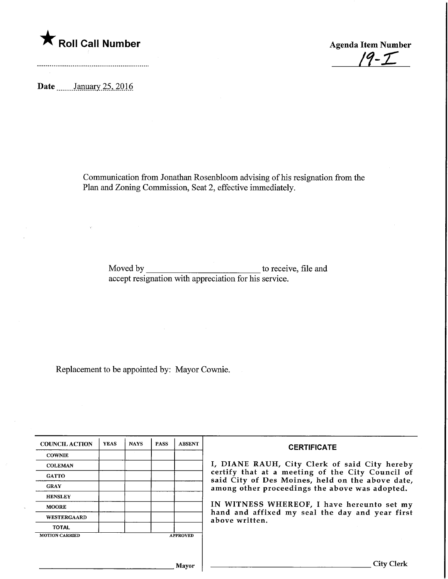

 $19 - 1$ 

Date **January** 25, 2016

Communication from Jonathan Rosenbloom advising of his resignation from the Plan and Zoning Commission, Seat 2, effective immediately.

Moved by accept resignation with appreciation for his service. to receive, file and

Replacement to be appointed by: Mayor Cownie.

| <b>COUNCIL ACTION</b> | <b>YEAS</b> | <b>NAYS</b> | <b>PASS</b> | <b>ABSENT</b>   | <b>CERTIFICATE</b>                                                                                                                                                                                                                                                                                                         |
|-----------------------|-------------|-------------|-------------|-----------------|----------------------------------------------------------------------------------------------------------------------------------------------------------------------------------------------------------------------------------------------------------------------------------------------------------------------------|
| <b>COWNIE</b>         |             |             |             |                 | I, DIANE RAUH, City Clerk of said City hereby<br>certify that at a meeting of the City Council of<br>said City of Des Moines, held on the above date,<br>among other proceedings the above was adopted.<br>IN WITNESS WHEREOF, I have hereunto set my<br>hand and affixed my seal the day and year first<br>above written. |
| <b>COLEMAN</b>        |             |             |             |                 |                                                                                                                                                                                                                                                                                                                            |
| <b>GATTO</b>          |             |             |             |                 |                                                                                                                                                                                                                                                                                                                            |
| <b>GRAY</b>           |             |             |             |                 |                                                                                                                                                                                                                                                                                                                            |
| <b>HENSLEY</b>        |             |             |             |                 |                                                                                                                                                                                                                                                                                                                            |
| <b>MOORE</b>          |             |             |             |                 |                                                                                                                                                                                                                                                                                                                            |
| <b>WESTERGAARD</b>    |             |             |             |                 |                                                                                                                                                                                                                                                                                                                            |
| <b>TOTAL</b>          |             |             |             |                 |                                                                                                                                                                                                                                                                                                                            |
| <b>MOTION CARRIED</b> |             |             |             | <b>APPROVED</b> |                                                                                                                                                                                                                                                                                                                            |
|                       |             |             |             |                 |                                                                                                                                                                                                                                                                                                                            |
| Mavor                 |             |             |             |                 | City Clerl                                                                                                                                                                                                                                                                                                                 |